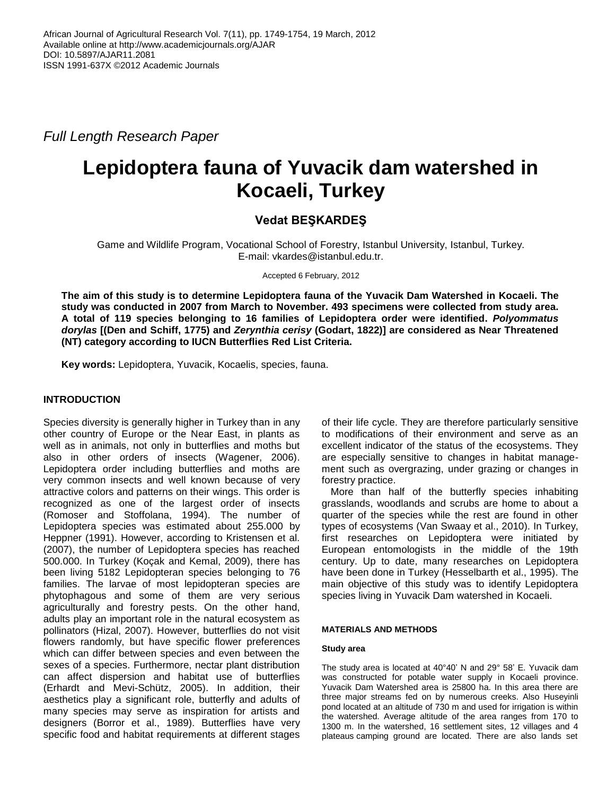*Full Length Research Paper*

# **Lepidoptera fauna of Yuvacik dam watershed in Kocaeli, Turkey**

# **Vedat BEŞKARDEŞ**

Game and Wildlife Program, Vocational School of Forestry, Istanbul University, Istanbul, Turkey. E-mail: vkardes@istanbul.edu.tr.

Accepted 6 February, 2012

**The aim of this study is to determine Lepidoptera fauna of the Yuvacik Dam Watershed in Kocaeli. The study was conducted in 2007 from March to November. 493 specimens were collected from study area. A total of 119 species belonging to 16 families of Lepidoptera order were identified.** *Polyommatus dorylas* **[(Den and Schiff, 1775) and** *Zerynthia cerisy* **(Godart, 1822)] are considered as Near Threatened (NT) category according to IUCN Butterflies Red List Criteria.**

**Key words:** Lepidoptera, Yuvacik, Kocaelis, species, fauna.

# **INTRODUCTION**

Species diversity is generally higher in Turkey than in any other country of Europe or the Near East, in plants as well as in animals, not only in butterflies and moths but also in other orders of insects (Wagener, 2006). Lepidoptera order including butterflies and moths are very common insects and well known because of very attractive colors and patterns on their wings. This order is recognized as one of the largest order of insects (Romoser and Stoffolana, 1994). The number of Lepidoptera species was estimated about 255.000 by Heppner (1991). However, according to Kristensen et al. (2007), the number of Lepidoptera species has reached 500.000. In Turkey (Koçak and Kemal, 2009), there has been living 5182 Lepidopteran species belonging to 76 families. The larvae of most lepidopteran species are phytophagous and some of them are very serious agriculturally and forestry pests. On the other hand, adults play an important role in the natural ecosystem as pollinators (Hizal, 2007). However, butterflies do not visit flowers randomly, but have specific flower preferences which can differ between species and even between the sexes of a species. Furthermore, nectar plant distribution can affect dispersion and habitat use of butterflies (Erhardt and Mevi-Schütz, 2005). In addition, their aesthetics play a significant role, butterfly and adults of many species may serve as inspiration for artists and designers (Borror et al., 1989). Butterflies have very specific food and habitat requirements at different stages

of their life cycle. They are therefore particularly sensitive to modifications of their environment and serve as an excellent indicator of the status of the ecosystems. They are especially sensitive to changes in habitat management such as overgrazing, under grazing or changes in forestry practice.

More than half of the butterfly species inhabiting grasslands, woodlands and scrubs are home to about a quarter of the species while the rest are found in other types of ecosystems (Van Swaay et al., 2010). In Turkey, first researches on Lepidoptera were initiated by European entomologists in the middle of the 19th century. Up to date, many researches on Lepidoptera have been done in Turkey (Hesselbarth et al., 1995). The main objective of this study was to identify Lepidoptera species living in Yuvacik Dam watershed in Kocaeli.

# **MATERIALS AND METHODS**

#### **Study area**

The study area is located at 40°40" N and 29° 58" E. Yuvacik dam was constructed for potable water supply in Kocaeli province. Yuvacik Dam Watershed area is 25800 ha. In this area there are three major streams fed on by numerous creeks. Also Huseyinli pond located at an altitude of 730 m and used for irrigation is within the watershed. Average altitude of the area ranges from 170 to 1300 m. In the watershed, 16 settlement sites, 12 villages and 4 plateaus camping ground are located. There are also lands set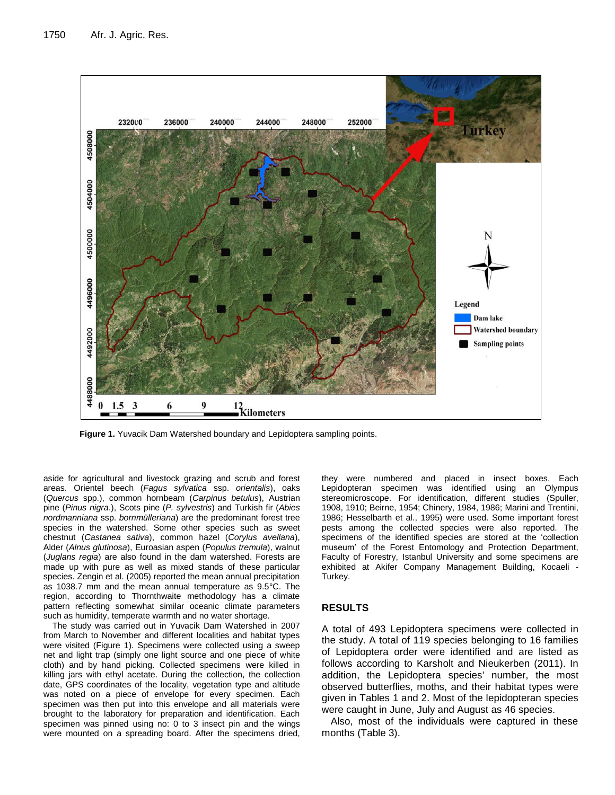

**Figure 1.** Yuvacik Dam Watershed boundary and Lepidoptera sampling points.

aside for agricultural and livestock grazing and scrub and forest areas. Orientel beech (*Fagus sylvatica* ssp. *orientalis*), oaks (*Quercus* spp.), common hornbeam (*Carpinus betulus*), Austrian pine (*Pinus nigra*.), Scots pine (*P. sylvestris*) and Turkish fir (*Abies nordmanniana* ssp. *bornmülleriana*) are the predominant forest tree species in the watershed. Some other species such as sweet chestnut (*Castanea sativa*), common hazel (*Corylus avellana*), Alder (*Alnus glutinosa*), Euroasian aspen (*Populus tremula*), walnut (*Juglans regia*) are also found in the dam watershed. Forests are made up with pure as well as mixed stands of these particular species. Zengin et al. (2005) reported the mean annual precipitation as 1038.7 mm and the mean annual temperature as 9.5°C. The region, according to Thornthwaite methodology has a climate pattern reflecting somewhat similar oceanic climate parameters such as humidity, temperate warmth and no water shortage.

The study was carried out in Yuvacik Dam Watershed in 2007 from March to November and different localities and habitat types were visited (Figure 1). Specimens were collected using a sweep net and light trap (simply one light source and one piece of white cloth) and by hand picking. Collected specimens were killed in killing jars with ethyl acetate. During the collection, the collection date, GPS coordinates of the locality, vegetation type and altitude was noted on a piece of envelope for every specimen. Each specimen was then put into this envelope and all materials were brought to the laboratory for preparation and identification. Each specimen was pinned using no: 0 to 3 insect pin and the wings were mounted on a spreading board. After the specimens dried,

they were numbered and placed in insect boxes. Each Lepidopteran specimen was identified using an Olympus stereomicroscope. For identification, different studies (Spuller, 1908, 1910; Beirne, 1954; Chinery, 1984, 1986; Marini and Trentini, 1986; Hesselbarth et al., 1995) were used. Some important forest pests among the collected species were also reported. The specimens of the identified species are stored at the "collection museum" of the Forest Entomology and Protection Department, Faculty of Forestry, Istanbul University and some specimens are exhibited at Akifer Company Management Building, Kocaeli - Turkey.

#### **RESULTS**

A total of 493 Lepidoptera specimens were collected in the study. A total of 119 species belonging to 16 families of Lepidoptera order were identified and are listed as follows according to Karsholt and Nieukerben (2011). In addition, the Lepidoptera species' number, the most observed butterflies, moths, and their habitat types were given in Tables 1 and 2. Most of the lepidopteran species were caught in June, July and August as 46 species.

Also, most of the individuals were captured in these months (Table 3).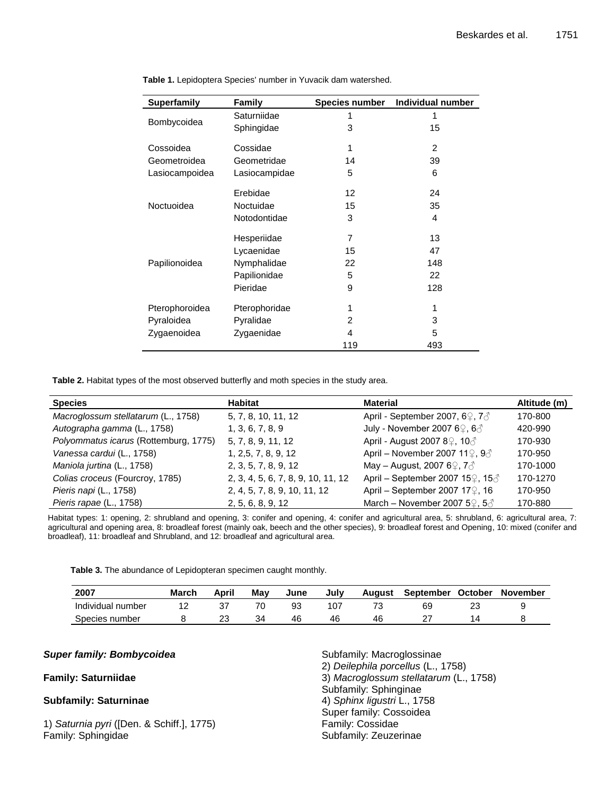| <b>Superfamily</b> | Family        | <b>Species number</b> | Individual number |
|--------------------|---------------|-----------------------|-------------------|
| Bombycoidea        | Saturniidae   | 1                     | 1                 |
|                    | Sphingidae    | 3                     | 15                |
| Cossoidea          | Cossidae      | 1                     | 2                 |
| Geometroidea       | Geometridae   | 14                    | 39                |
| Lasiocampoidea     | Lasiocampidae | 5                     | 6                 |
| Noctuoidea         | Erebidae      | 12                    | 24                |
|                    | Noctuidae     | 15                    | 35                |
|                    | Notodontidae  | 3                     | 4                 |
| Papilionoidea      | Hesperiidae   | $\overline{7}$        | 13                |
|                    | Lycaenidae    | 15                    | 47                |
|                    | Nymphalidae   | 22                    | 148               |
|                    | Papilionidae  | 5                     | 22                |
|                    | Pieridae      | 9                     | 128               |
| Pterophoroidea     | Pterophoridae | 1                     | 1                 |
| Pyraloidea         | Pyralidae     | $\overline{2}$        | 3                 |
| Zygaenoidea        | Zygaenidae    | 4                     | 5                 |
|                    |               | 119                   | 493               |

**Table 1.** Lepidoptera Species' number in Yuvacik dam watershed.

**Table 2.** Habitat types of the most observed butterfly and moth species in the study area.

| <b>Species</b>                        | Habitat                            | <b>Material</b>                                            | Altitude (m) |
|---------------------------------------|------------------------------------|------------------------------------------------------------|--------------|
| Macroglossum stellatarum (L., 1758)   | 5, 7, 8, 10, 11, 12                | April - September 2007, 6 $9, 7$                           | 170-800      |
| Autographa gamma (L., 1758)           | 1, 3, 6, 7, 8, 9                   | July - November 2007 6 $9, 60$                             | 420-990      |
| Polyommatus icarus (Rottemburg, 1775) | 5, 7, 8, 9, 11, 12                 | April - August 2007 8 <sup>2</sup> , 10 <sup>2</sup>       | 170-930      |
| Vanessa cardui (L., 1758)             | 1, 2,5, 7, 8, 9, 12                | April – November 2007 11 $\mathcal{Q}, \mathcal{Q}$        | 170-950      |
| Maniola jurtina (L., 1758)            | 2, 3, 5, 7, 8, 9, 12               | May – August, 2007 6 $9, 7$                                | 170-1000     |
| Colias croceus (Fourcroy, 1785)       | 2, 3, 4, 5, 6, 7, 8, 9, 10, 11, 12 | April – September 2007 15 $\mathcal{Q}$ , 15 $\mathcal{Z}$ | 170-1270     |
| Pieris napi (L., 1758)                | 2, 4, 5, 7, 8, 9, 10, 11, 12       | April – September 2007 17 $\degree$ , 16                   | 170-950      |
| Pieris rapae (L., 1758)               | 2, 5, 6, 8, 9, 12                  | March - November 2007 5 $\mathcal{Q}, 5\mathcal{A}$        | 170-880      |

Habitat types: 1: opening, 2: shrubland and opening, 3: conifer and opening, 4: conifer and agricultural area, 5: shrubland, 6: agricultural area, 7: agricultural and opening area, 8: broadleaf forest (mainly oak, beech and the other species), 9: broadleaf forest and Opening, 10: mixed (conifer and broadleaf), 11: broadleaf and Shrubland, and 12: broadleaf and agricultural area.

**Table 3.** The abundance of Lepidopteran specimen caught monthly.

| 2007              | <b>March</b> | April | Mav | June | Julv | August | <b>September</b> | <b>October</b> | <b>November</b> |
|-------------------|--------------|-------|-----|------|------|--------|------------------|----------------|-----------------|
| Individual number |              |       |     |      |      |        | 69               |                |                 |
| Species number    |              | ∠     |     | 46   |      | 46     |                  |                |                 |

#### *Super family: Bombycoidea*

### **Family: Saturniidae**

# **Subfamily: Saturninae**

1) *Saturnia pyri* ([Den. & Schiff.], 1775) Family: Sphingidae

Subfamily: Macroglossinae 2) *Deilephila porcellus* (L., 1758) 3) *Macroglossum stellatarum* (L., 1758) Subfamily: Sphinginae 4) *Sphinx ligustri* L., 1758 Super family: Cossoidea Family: Cossidae Subfamily: Zeuzerinae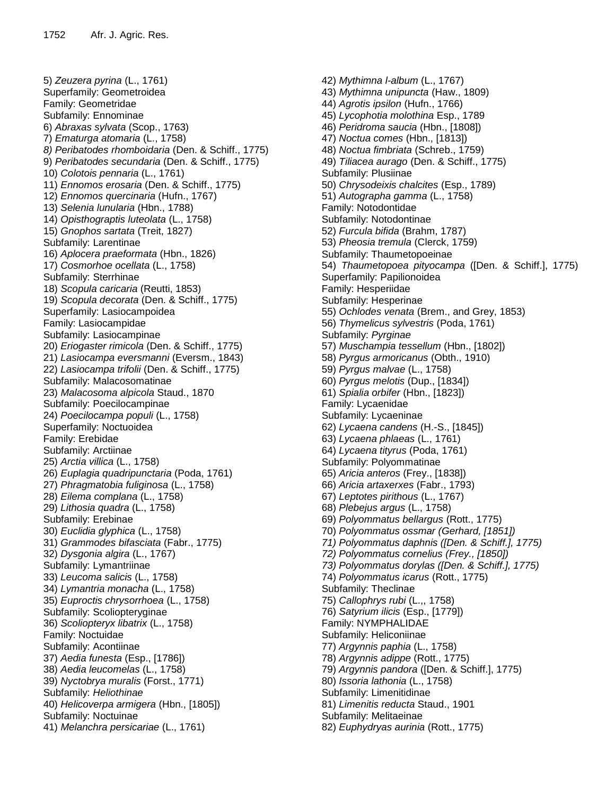5) *Zeuzera pyrina* (L., 1761) Superfamily: Geometroidea Family: Geometridae Subfamily: Ennominae 6) *Abraxas sylvata* (Scop., 1763) 7) *Ematurga atomaria* (L., 1758) *8) Peribatodes rhomboidaria* (Den. & Schiff., 1775) 9) *Peribatodes secundaria* (Den. & Schiff., 1775) 10) *Colotois pennaria* (L., 1761) 11) *Ennomos erosaria* (Den. & Schiff., 1775) 12) *Ennomos quercinaria* (Hufn., 1767) 13) *Selenia lunularia* (Hbn., 1788) 14) *Opisthograptis luteolata* (L., 1758) 15) *Gnophos sartata* (Treit, 1827) Subfamily: Larentinae 16) *Aplocera praeformata* (Hbn., 1826) 17) *Cosmorhoe ocellata* (L., 1758) Subfamily: Sterrhinae 18) *Scopula caricaria* (Reutti, 1853) 19) *Scopula decorata* (Den. & Schiff., 1775) Superfamily: Lasiocampoidea Family: Lasiocampidae Subfamily: Lasiocampinae 20) *Eriogaster rimicola* (Den. & Schiff., 1775) 21) *Lasiocampa eversmanni* (Eversm., 1843) 22) *Lasiocampa trifolii* (Den. & Schiff., 1775) Subfamily: Malacosomatinae 23) *Malacosoma alpicola* Staud., 1870 Subfamily: Poecilocampinae 24) *Poecilocampa populi* (L., 1758) Superfamily: Noctuoidea Family: Erebidae Subfamily: Arctiinae 25) *Arctia villica* (L., 1758) 26) *Euplagia quadripunctaria* (Poda, 1761) 27) *Phragmatobia fuliginosa* (L., 1758) 28) *Eilema complana* (L., 1758) 29) *Lithosia quadra* (L., 1758) Subfamily: Erebinae 30) *Euclidia glyphica* (L., 1758) 31) *Grammodes bifasciata* (Fabr., 1775) 32) *Dysgonia algira* (L., 1767) Subfamily: Lymantriinae 33) *Leucoma salicis* (L., 1758) 34) *Lymantria monacha* (L., 1758) 35) *Euproctis chrysorrhoea* (L., 1758) Subfamily: Scoliopteryginae 36) *Scoliopteryx libatrix* (L., 1758) Family: Noctuidae Subfamily: Acontiinae 37) *Aedia funesta* (Esp., [1786]) 38) *Aedia leucomelas* (L., 1758) 39) *Nyctobrya muralis* (Forst., 1771) Subfamily: *Heliothinae* 40) *Helicoverpa armigera* (Hbn., [1805]) Subfamily: Noctuinae 41) *Melanchra persicariae* (L., 1761)

42) *Mythimna l-album* (L., 1767) 43) *Mythimna unipuncta* (Haw., 1809) 44) *Agrotis ipsilon* (Hufn., 1766) 45) *Lycophotia molothina* Esp., 1789 46) *Peridroma saucia* (Hbn., [1808]) 47) *Noctua comes* (Hbn., [1813]) 48) *Noctua fimbriata* (Schreb., 1759) 49) *Tiliacea aurago* (Den. & Schiff., 1775) Subfamily: Plusiinae 50) *Chrysodeixis chalcites* (Esp., 1789) 51) *Autographa gamma* (L., 1758) Family: Notodontidae Subfamily: Notodontinae 52) *Furcula bifida* (Brahm, 1787) 53) *Pheosia tremula* (Clerck, 1759) Subfamily: Thaumetopoeinae 54) *Thaumetopoea pityocampa* ([Den. & Schiff.], 1775) Superfamily: Papilionoidea Family: Hesperiidae Subfamily: Hesperinae 55) *Ochlodes venata* (Brem., and Grey, 1853) 56) *Thymelicus sylvestris* (Poda, 1761) Subfamily: *Pyrginae* 57) *Muschampia tessellum* (Hbn., [1802]) 58) *Pyrgus armoricanus* (Obth., 1910) 59) *Pyrgus malvae* (L., 1758) 60) *Pyrgus melotis* (Dup., [1834]) 61) *Spialia orbifer* (Hbn., [1823]) Family: Lycaenidae Subfamily: Lycaeninae 62) *Lycaena candens* (H.-S., [1845]) 63) *Lycaena phlaeas* (L., 1761) 64) *Lycaena tityrus* (Poda, 1761) Subfamily: Polyommatinae 65) *Aricia anteros* (Frey., [1838]) 66) *Aricia artaxerxes* (Fabr., 1793) 67) *Leptotes pirithous* (L., 1767) 68) *Plebejus argus* (L., 1758) 69) *Polyommatus bellargus* (Rott., 1775) 70) *Polyommatus ossmar (Gerhard, [1851]) 71) Polyommatus daphnis ([Den. & Schiff.], 1775) 72) Polyommatus cornelius (Frey., [1850]) 73) Polyommatus dorylas ([Den. & Schiff.], 1775)*  74) *Polyommatus icarus* (Rott., 1775) Subfamily: Theclinae 75) *Callophrys rubi* (L.,, 1758) 76) *Satyrium ilicis* (Esp., [1779]) Family: NYMPHALIDAE Subfamily: Heliconiinae 77) *Argynnis paphia* (L., 1758) 78) *Argynnis adippe* (Rott., 1775) 79) *Argynnis pandora* ([Den. & Schiff.], 1775) 80) *Issoria lathonia* (L., 1758) Subfamily: Limenitidinae 81) *Limenitis reducta* Staud., 1901 Subfamily: Melitaeinae 82) *Euphydryas aurinia* (Rott., 1775)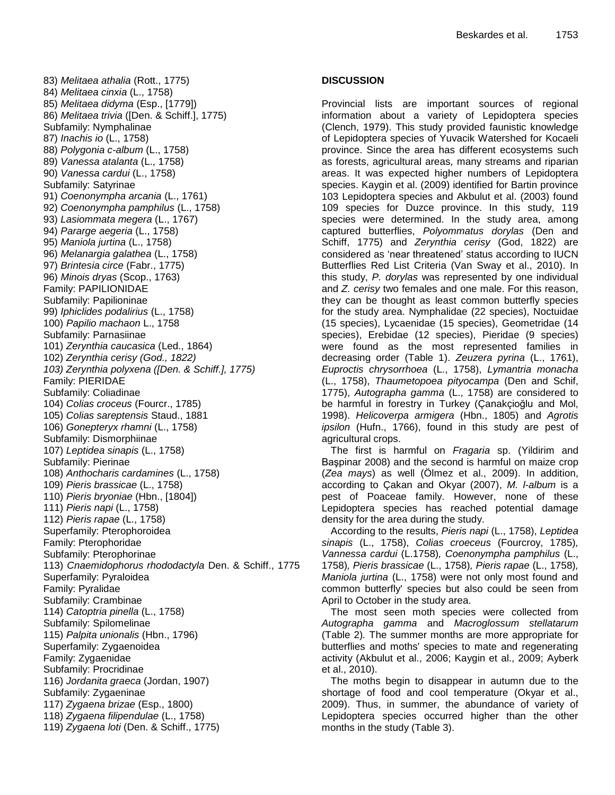83) *Melitaea athalia* (Rott., 1775) 84) *Melitaea cinxia* (L., 1758) 85) *Melitaea didyma* (Esp., [1779]) 86) *Melitaea trivia* ([Den. & Schiff.], 1775) Subfamily: Nymphalinae 87) *Inachis io* (L., 1758) 88) *Polygonia c-album* (L., 1758) 89) *Vanessa atalanta* (L., 1758) 90) *Vanessa cardui* (L., 1758) Subfamily: Satyrinae 91) *Coenonympha arcania* (L., 1761) 92) *Coenonympha pamphilus* (L., 1758) 93) *Lasiommata megera* (L., 1767) 94) *Pararge aegeria* (L., 1758) 95) *Maniola jurtina* (L., 1758) 96) *Melanargia galathea* (L., 1758) 97) *Brintesia circe* (Fabr., 1775) 96) *Minois dryas* (Scop., 1763) Family: PAPILIONIDAE Subfamily: Papilioninae 99) *Iphiclides podalirius* (L., 1758) 100) *Papilio machaon* L., 1758 Subfamily: Parnasiinae 101) *Zerynthia caucasica* (Led., 1864) 102) *Zerynthia cerisy (God., 1822) 103) Zerynthia polyxena ([Den. & Schiff.], 1775)* Family: PIERIDAE Subfamily: Coliadinae 104) *Colias croceus* (Fourcr., 1785) 105) *Colias sareptensis* Staud., 1881 106) *Gonepteryx rhamni* (L., 1758) Subfamily: Dismorphiinae 107) *Leptidea sinapis* (L., 1758) Subfamily: Pierinae 108) *Anthocharis cardamines* (L., 1758) 109) *Pieris brassicae* (L., 1758) 110) *Pieris bryoniae* (Hbn., [1804]) 111) *Pieris napi* (L., 1758) 112) *Pieris rapae* (L., 1758) Superfamily: Pterophoroidea Family: Pterophoridae Subfamily: Pterophorinae 113) *Cnaemidophorus rhododactyla* Den. & Schiff., 1775 Superfamily: Pyraloidea Family: Pyralidae Subfamily: Crambinae 114) *Catoptria pinella* (L., 1758) Subfamily: Spilomelinae 115) *Palpita unionalis* (Hbn., 1796) Superfamily: Zygaenoidea Family: Zygaenidae Subfamily: Procridinae 116) *Jordanita graeca* (Jordan, 1907) Subfamily: Zygaeninae 117) *Zygaena brizae* (Esp., 1800) 118) *Zygaena filipendulae* (L., 1758) 119) *Zygaena loti* (Den. & Schiff., 1775)

# **DISCUSSION**

Provincial lists are important sources of regional information about a variety of Lepidoptera species (Clench, 1979). This study provided faunistic knowledge of Lepidoptera species of Yuvacik Watershed for Kocaeli province. Since the area has different ecosystems such as forests, agricultural areas, many streams and riparian areas. It was expected higher numbers of Lepidoptera species. Kaygin et al. (2009) identified for Bartin province 103 Lepidoptera species and Akbulut et al. (2003) found 109 species for Duzce province. In this study, 119 species were determined. In the study area, among captured butterflies, *Polyommatus dorylas* (Den and Schiff, 1775) and *Zerynthia cerisy* (God, 1822) are considered as "near threatened" status according to IUCN Butterflies Red List Criteria (Van Sway et al., 2010). In this study, *P. dorylas* was represented by one individual and *Z. cerisy* two females and one male. For this reason, they can be thought as least common butterfly species for the study area. Nymphalidae (22 species), Noctuidae (15 species), Lycaenidae (15 species), Geometridae (14 species), Erebidae (12 species), Pieridae (9 species) were found as the most represented families in decreasing order (Table 1). *Zeuzera pyrina* (L., 1761), *Euproctis chrysorrhoea* (L., 1758), *Lymantria monacha* (L., 1758), *Thaumetopoea pityocampa* (Den and Schif, 1775), *Autographa gamma* (L., 1758) are considered to be harmful in forestry in Turkey (Çanakçioğlu and Mol, 1998). *Helicoverpa armigera* (Hbn., 1805) and *Agrotis ipsilon* (Hufn., 1766), found in this study are pest of agricultural crops.

The first is harmful on *Fragaria* sp. (Yildirim and Başpinar 2008) and the second is harmful on maize crop (*Zea mays*) as well (Ölmez et al., 2009). In addition, according to Çakan and Okyar (2007), *M. l-album* is a pest of Poaceae family. However, none of these Lepidoptera species has reached potential damage density for the area during the study.

According to the results, *Pieris napi* (L., 1758), *Leptidea sinapis* (L., 1758), *Colias croeceus* (Fourcroy, 1785)*, Vannessa cardui* (L.1758)*, Coenonympha pamphilus* (L., 1758)*, Pieris brassicae* (L., 1758)*, Pieris rapae* (L., 1758)*, Maniola jurtina* (L., 1758) were not only most found and common butterfly' species but also could be seen from April to October in the study area.

The most seen moth species were collected from *Autographa gamma* and *Macroglossum stellatarum* (Table 2)*.* The summer months are more appropriate for butterflies and moths' species to mate and regenerating activity (Akbulut et al., 2006; Kaygin et al., 2009; Ayberk et al., 2010).

The moths begin to disappear in autumn due to the shortage of food and cool temperature (Okyar et al., 2009). Thus, in summer, the abundance of variety of Lepidoptera species occurred higher than the other months in the study (Table 3).